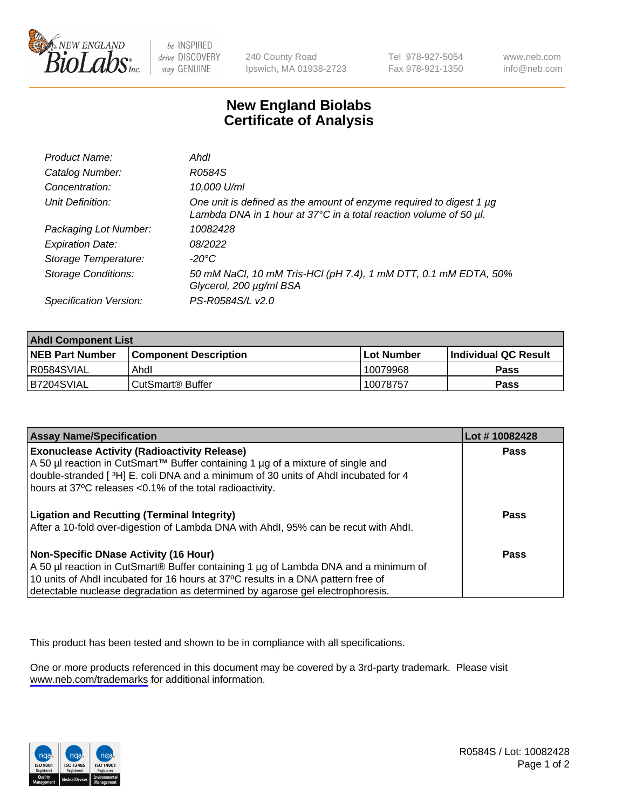

be INSPIRED drive DISCOVERY stay GENUINE

240 County Road Ipswich, MA 01938-2723 Tel 978-927-5054 Fax 978-921-1350

www.neb.com info@neb.com

## **New England Biolabs Certificate of Analysis**

| Product Name:              | Ahdl                                                                                                                                     |
|----------------------------|------------------------------------------------------------------------------------------------------------------------------------------|
| Catalog Number:            | R0584S                                                                                                                                   |
| Concentration:             | 10,000 U/ml                                                                                                                              |
| Unit Definition:           | One unit is defined as the amount of enzyme required to digest 1 µg<br>Lambda DNA in 1 hour at 37°C in a total reaction volume of 50 µl. |
| Packaging Lot Number:      | 10082428                                                                                                                                 |
| <b>Expiration Date:</b>    | 08/2022                                                                                                                                  |
| Storage Temperature:       | -20°C                                                                                                                                    |
| <b>Storage Conditions:</b> | 50 mM NaCl, 10 mM Tris-HCl (pH 7.4), 1 mM DTT, 0.1 mM EDTA, 50%<br>Glycerol, 200 µg/ml BSA                                               |
| Specification Version:     | PS-R0584S/L v2.0                                                                                                                         |

| <b>Ahdl Component List</b> |                              |              |                             |  |
|----------------------------|------------------------------|--------------|-----------------------------|--|
| <b>NEB Part Number</b>     | <b>Component Description</b> | l Lot Number | <b>Individual QC Result</b> |  |
| R0584SVIAL                 | Ahdl                         | 10079968     | Pass                        |  |
| B7204SVIAL                 | l CutSmart® Buffer           | 10078757     | Pass                        |  |

| <b>Assay Name/Specification</b>                                                                                                                                   | Lot #10082428 |
|-------------------------------------------------------------------------------------------------------------------------------------------------------------------|---------------|
| <b>Exonuclease Activity (Radioactivity Release)</b>                                                                                                               | Pass          |
| A 50 µl reaction in CutSmart™ Buffer containing 1 µg of a mixture of single and                                                                                   |               |
| double-stranded [3H] E. coli DNA and a minimum of 30 units of Ahdl incubated for 4<br>hours at 37°C releases <0.1% of the total radioactivity.                    |               |
| <b>Ligation and Recutting (Terminal Integrity)</b>                                                                                                                | Pass          |
| After a 10-fold over-digestion of Lambda DNA with Ahdl, 95% can be recut with Ahdl.                                                                               |               |
| Non-Specific DNase Activity (16 Hour)                                                                                                                             | Pass          |
| A 50 µl reaction in CutSmart® Buffer containing 1 µg of Lambda DNA and a minimum of                                                                               |               |
| 10 units of Ahdl incubated for 16 hours at 37°C results in a DNA pattern free of<br>detectable nuclease degradation as determined by agarose gel electrophoresis. |               |

This product has been tested and shown to be in compliance with all specifications.

One or more products referenced in this document may be covered by a 3rd-party trademark. Please visit <www.neb.com/trademarks>for additional information.